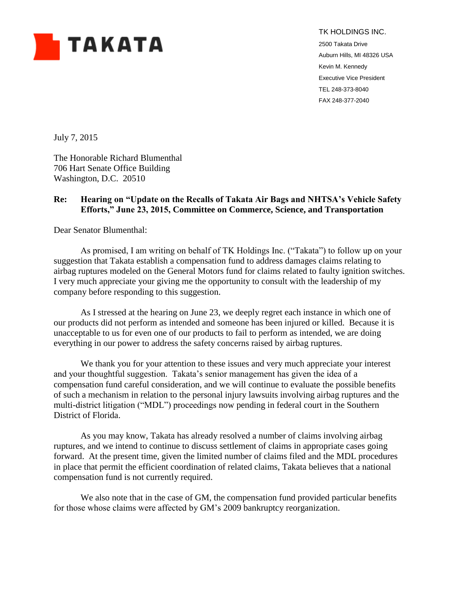

TK HOLDINGS INC.

2500 Takata Drive Auburn Hills, MI 48326 USA Kevin M. Kennedy Executive Vice President TEL 248-373-8040 FAX 248-377-2040

July 7, 2015

The Honorable Richard Blumenthal 706 Hart Senate Office Building Washington, D.C. 20510

## **Re: Hearing on "Update on the Recalls of Takata Air Bags and NHTSA's Vehicle Safety Efforts," June 23, 2015, Committee on Commerce, Science, and Transportation**

Dear Senator Blumenthal:

As promised, I am writing on behalf of TK Holdings Inc. ("Takata") to follow up on your suggestion that Takata establish a compensation fund to address damages claims relating to airbag ruptures modeled on the General Motors fund for claims related to faulty ignition switches. I very much appreciate your giving me the opportunity to consult with the leadership of my company before responding to this suggestion.

As I stressed at the hearing on June 23, we deeply regret each instance in which one of our products did not perform as intended and someone has been injured or killed. Because it is unacceptable to us for even one of our products to fail to perform as intended, we are doing everything in our power to address the safety concerns raised by airbag ruptures.

We thank you for your attention to these issues and very much appreciate your interest and your thoughtful suggestion. Takata's senior management has given the idea of a compensation fund careful consideration, and we will continue to evaluate the possible benefits of such a mechanism in relation to the personal injury lawsuits involving airbag ruptures and the multi-district litigation ("MDL") proceedings now pending in federal court in the Southern District of Florida.

As you may know, Takata has already resolved a number of claims involving airbag ruptures, and we intend to continue to discuss settlement of claims in appropriate cases going forward. At the present time, given the limited number of claims filed and the MDL procedures in place that permit the efficient coordination of related claims, Takata believes that a national compensation fund is not currently required.

We also note that in the case of GM, the compensation fund provided particular benefits for those whose claims were affected by GM's 2009 bankruptcy reorganization.